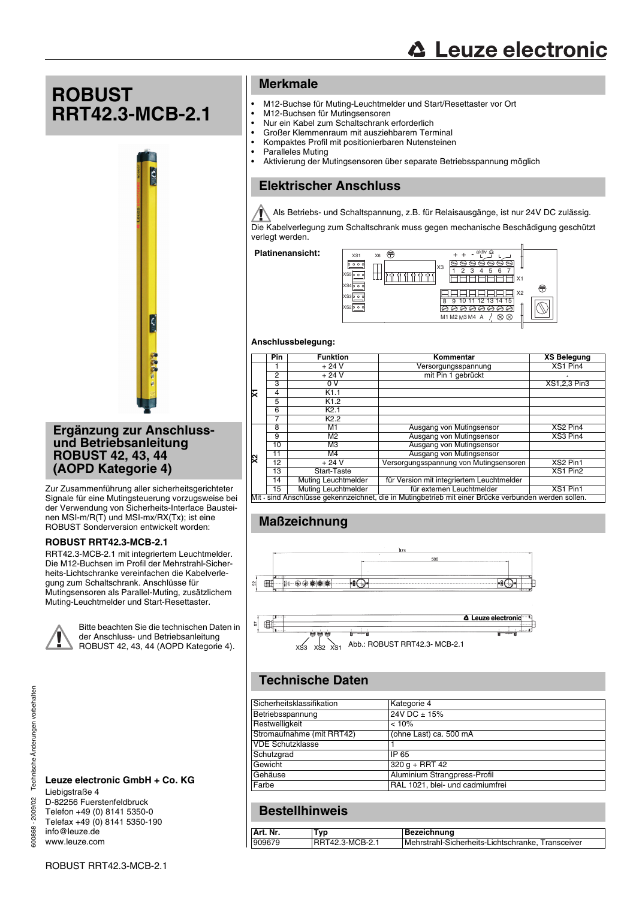# **ROBUST RRT42.3-MCB-2.1**



### **Ergänzung zur Anschlussund Betriebsanleitung ROBUST 42, 43, 44 (AOPD Kategorie 4)**

Zur Zusammenführung aller sicherheitsgerichteter Signale für eine Mutingsteuerung vorzugsweise bei der Verwendung von Sicherheits-Interface Bausteinen MSI-m/R(T) und MSI-mx/RX(Tx); ist eine ROBUST Sonderversion entwickelt worden:

### **ROBUST RRT42.3-MCB-2.1**

RRT42.3-MCB-2.1 mit integriertem Leuchtmelder. Die M12-Buchsen im Profil der Mehrstrahl-Sicherheits-Lichtschranke vereinfachen die Kabelverlegung zum Schaltschrank. Anschlüsse für Mutingsensoren als Parallel-Muting, zusätzlichem Muting-Leuchtmelder und Start-Resettaster.



Bitte beachten Sie die technischen Daten in der Anschluss- und Betriebsanleitung ROBUST 42, 43, 44 (AOPD Kategorie 4).

#### **Leuze electronic GmbH + Co. KG** Liebigstraße 4 D-82256 Fuerstenfeldbruck Telefon +49 (0) 8141 5350-0 Telefax +49 (0) 8141 5350-190

info@leuze.de www.leuze.com

## **Merkmale**

- M12-Buchse für Muting-Leuchtmelder und Start/Resettaster vor Ort<br>• M12-Buchsen für Mutingsensoren
- M12-Buchsen für Mutingsensoren
- Nur ein Kabel zum Schaltschrank erforderlich<br>• Großer Klemmenraum mit ausziehbarem Terr
- Großer Klemmenraum mit ausziehbarem Terminal
- Kompaktes Profil mit positionierbaren Nutensteinen
- Paralleles Muting<br>• Aktivierung der M
- Aktivierung der Mutingsensoren über separate Betriebsspannung möglich

## **Elektrischer Anschluss**

Als Betriebs- und Schaltspannung, z.B. für Relaisausgänge, ist nur 24V DC zulässig.

Die Kabelverlegung zum Schaltschrank muss gegen mechanische Beschädigung geschützt verlegt werden.

Platinenansicht: <sub>vst x6</sub>



### **Anschlussbelegung:**

|    | <b>Pin</b> | <b>Funktion</b>            | Kommentar                                                                                            | <b>XS Belegung</b> |
|----|------------|----------------------------|------------------------------------------------------------------------------------------------------|--------------------|
|    |            | $+24V$                     | Versorgungsspannung                                                                                  | XS1 Pin4           |
| ⋤  | 2          | $+24V$                     | mit Pin 1 gebrückt                                                                                   | ٠                  |
|    | 3          | 0V                         |                                                                                                      | XS1,2,3 Pin3       |
|    | 4          | K1.1                       |                                                                                                      |                    |
|    | 5          | K1.2                       |                                                                                                      |                    |
|    | 6          | K2.1                       |                                                                                                      |                    |
|    |            | K <sub>2.2</sub>           |                                                                                                      |                    |
|    | 8          | M1                         | Ausgang von Mutingsensor                                                                             | XS2 Pin4           |
|    | 9          | M <sub>2</sub>             | Ausgang von Mutingsensor                                                                             | XS3 Pin4           |
|    | 10         | M <sub>3</sub>             | Ausgang von Mutingsensor                                                                             |                    |
|    | 11         | M4                         | Ausgang von Mutingsensor                                                                             |                    |
| ্য | 12         | $+24V$                     | Versorgungsspannung von Mutingsensoren                                                               | XS2 Pin1           |
|    | 13         | Start-Taste                |                                                                                                      | XS1 Pin2           |
|    | 14         | <b>Muting Leuchtmelder</b> | für Version mit integriertem Leuchtmelder                                                            |                    |
|    | 15         | Muting Leuchtmelder        | für externen Leuchtmelder                                                                            | XS1 Pin1           |
|    |            |                            | Mit - sind Anschlüsse gekennzeichnet, die in Mutingbetrieb mit einer Brücke verbunden werden sollen. |                    |

## **Maßzeichnung**



# **Technische Daten**

| Sicherheitsklassifikation | Kategorie 4                     |
|---------------------------|---------------------------------|
| Betriebsspannung          | 24V DC ± 15%                    |
| Restwelligkeit            | < 10%                           |
| Stromaufnahme (mit RRT42) | (ohne Last) ca. 500 mA          |
| <b>VDE Schutzklasse</b>   |                                 |
| Schutzgrad                | IP 65                           |
| Gewicht                   | $320 q + RRT 42$                |
| Gehäuse                   | Aluminium Strangpress-Profil    |
| Farbe                     | RAL 1021, blei- und cadmiumfrei |

## **Bestellhinweis**

| Art. Nr. | `vp             | Bezeichnung                                       |
|----------|-----------------|---------------------------------------------------|
| 909679   | RRT42.3-MCB-2.1 | Mehrstrahl-Sicherheits-Lichtschranke, Transceiver |

ROBUST RRT42.3-MCB-2.1